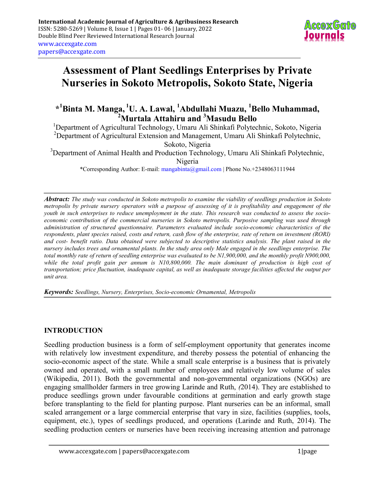

# Assessment of Plant Seedlings Enterprises by Private Nurseries in Sokoto Metropolis, Sokoto State, Nigeria

\*<sup>1</sup>Binta M. Manga, <sup>1</sup>U. A. Lawal, <sup>1</sup>Abdullahi Muazu, <sup>1</sup>Bello Muhammad,  $^{2}$ Murtala Attahiru and  $^{3}$ Masudu Bello

<sup>1</sup>Department of Agricultural Technology, Umaru Ali Shinkafi Polytechnic, Sokoto, Nigeria <sup>2</sup>Department of Agricultural Extension and Management, Umaru Ali Shinkafi Polytechnic, Sokoto, Nigeria

 $3$ Department of Animal Health and Production Technology, Umaru Ali Shinkafi Polytechnic, Nigeria

\*Corresponding Author: E-mail: mangabinta@gmail.com | Phone No.+2348063111944

Abstract: The study was conducted in Sokoto metropolis to examine the viability of seedlings production in Sokoto metropolis by private nursery operators with a purpose of assessing of it is profitability and engagement of the youth in such enterprises to reduce unemployment in the state. This research was conducted to assess the socioeconomic contribution of the commercial nurseries in Sokoto metropolis. Purposive sampling was used through administration of structured questionnaire. Parameters evaluated include socio-economic characteristics of the respondents, plant species raised, costs and return, cash flow of the enterprise, rate of return on investment (RORI) and cost- benefit ratio. Data obtained were subjected to descriptive statistics analysis. The plant raised in the nursery includes trees and ornamental plants. In the study area only Male engaged in the seedlings enterprise. The total monthly rate of return of seedling enterprise was evaluated to be N1,900,000, and the monthly profit N900,000, while the total profit gain per annum is N10,800,000. The main dominant of production is high cost of transportation; price fluctuation, inadequate capital, as well as inadequate storage facilities affected the output per unit area.

Keywords: Seedlings, Nursery, Enterprises, Socio-economic Ornamental, Metropolis

## INTRODUCTION

Seedling production business is a form of self-employment opportunity that generates income with relatively low investment expenditure, and thereby possess the potential of enhancing the socio-economic aspect of the state. While a small scale enterprise is a business that is privately owned and operated, with a small number of employees and relatively low volume of sales (Wikipedia, 2011). Both the governmental and non-governmental organizations (NGOs) are engaging smallholder farmers in tree growing Larinde and Ruth, (2014). They are established to produce seedlings grown under favourable conditions at germination and early growth stage before transplanting to the field for planting purpose. Plant nurseries can be an informal, small scaled arrangement or a large commercial enterprise that vary in size, facilities (supplies, tools, equipment, etc.), types of seedlings produced, and operations (Larinde and Ruth, 2014). The seedling production centers or nurseries have been receiving increasing attention and patronage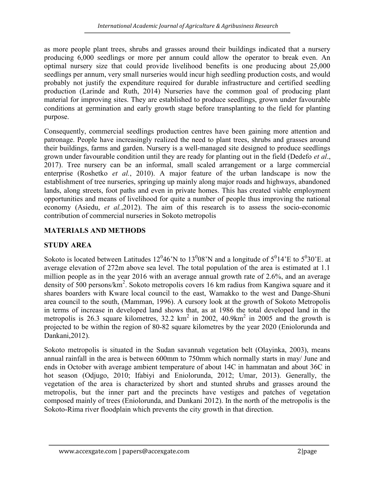as more people plant trees, shrubs and grasses around their buildings indicated that a nursery producing 6,000 seedlings or more per annum could allow the operator to break even. An optimal nursery size that could provide livelihood benefits is one producing about 25,000 seedlings per annum, very small nurseries would incur high seedling production costs, and would probably not justify the expenditure required for durable infrastructure and certified seedling production (Larinde and Ruth, 2014) Nurseries have the common goal of producing plant material for improving sites. They are established to produce seedlings, grown under favourable conditions at germination and early growth stage before transplanting to the field for planting purpose.

Consequently, commercial seedlings production centres have been gaining more attention and patronage. People have increasingly realized the need to plant trees, shrubs and grasses around their buildings, farms and garden. Nursery is a well-managed site designed to produce seedlings grown under favourable condition until they are ready for planting out in the field (Dedefo *et al.*, 2017). Tree nursery can be an informal, small scaled arrangement or a large commercial enterprise (Roshetko et al., 2010). A major feature of the urban landscape is now the establishment of tree nurseries, springing up mainly along major roads and highways, abandoned lands, along streets, foot paths and even in private homes. This has created viable employment opportunities and means of livelihood for quite a number of people thus improving the national economy (Asiedu, et al.,2012). The aim of this research is to assess the socio-economic contribution of commercial nurseries in Sokoto metropolis

# MATERIALS AND METHODS

# STUDY AREA

Sokoto is located between Latitudes  $12^046'N$  to  $13^008'N$  and a longitude of  $5^014'E$  to  $5^030'E$ . at average elevation of 272m above sea level. The total population of the area is estimated at 1.1 million people as in the year 2016 with an average annual growth rate of 2.6%, and an average density of 500 persons/km<sup>2</sup>. Sokoto metropolis covers 16 km radius from Kangiwa square and it shares boarders with Kware local council to the east, Wamakko to the west and Dange-Shuni area council to the south, (Mamman, 1996). A cursory look at the growth of Sokoto Metropolis in terms of increase in developed land shows that, as at 1986 the total developed land in the metropolis is 26.3 square kilometres,  $32.2 \text{ km}^2$  in 2002,  $40.9 \text{ km}^2$  in 2005 and the growth is projected to be within the region of 80-82 square kilometres by the year 2020 (Eniolorunda and Dankani,2012).

Sokoto metropolis is situated in the Sudan savannah vegetation belt (Olayinka, 2003), means annual rainfall in the area is between 600mm to 750mm which normally starts in may/ June and ends in October with average ambient temperature of about 14C in hammatan and about 36C in hot season (Odjugo, 2010; Ifabiyi and Eniolorunda, 2012; Umar, 2013). Generally, the vegetation of the area is characterized by short and stunted shrubs and grasses around the metropolis, but the inner part and the precincts have vestiges and patches of vegetation composed mainly of trees (Eniolorunda, and Dankani 2012). In the north of the metropolis is the Sokoto-Rima river floodplain which prevents the city growth in that direction.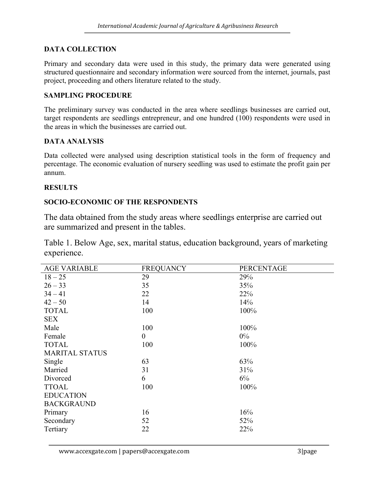# DATA COLLECTION

Primary and secondary data were used in this study, the primary data were generated using structured questionnaire and secondary information were sourced from the internet, journals, past project, proceeding and others literature related to the study.

#### SAMPLING PROCEDURE

The preliminary survey was conducted in the area where seedlings businesses are carried out, target respondents are seedlings entrepreneur, and one hundred (100) respondents were used in the areas in which the businesses are carried out.

#### DATA ANALYSIS

Data collected were analysed using description statistical tools in the form of frequency and percentage. The economic evaluation of nursery seedling was used to estimate the profit gain per annum.

#### RESULTS

## SOCIO-ECONOMIC OF THE RESPONDENTS

The data obtained from the study areas where seedlings enterprise are carried out are summarized and present in the tables.

Table 1. Below Age, sex, marital status, education background, years of marketing experience.

| <b>AGE VARIABLE</b>   | <b>FREQUANCY</b> | PERCENTAGE |
|-----------------------|------------------|------------|
| $18 - 25$             | 29               | 29%        |
| $26 - 33$             | 35               | 35%        |
| $34 - 41$             | 22               | 22%        |
| $42 - 50$             | 14               | 14%        |
| <b>TOTAL</b>          | 100              | 100%       |
| <b>SEX</b>            |                  |            |
| Male                  | 100              | 100%       |
| Female                | $\boldsymbol{0}$ | $0\%$      |
| <b>TOTAL</b>          | 100              | 100%       |
| <b>MARITAL STATUS</b> |                  |            |
| Single                | 63               | 63%        |
| Married               | 31               | 31%        |
| Divorced              | 6                | $6\%$      |
| <b>TTOAL</b>          | 100              | 100%       |
| <b>EDUCATION</b>      |                  |            |
| <b>BACKGRAUND</b>     |                  |            |
| Primary               | 16               | 16%        |
| Secondary             | 52               | 52%        |
| Tertiary              | 22               | 22%        |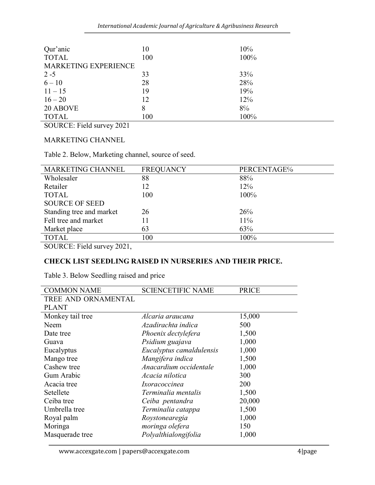| Qur'anic             | 10  | 10%  |
|----------------------|-----|------|
| <b>TOTAL</b>         | 100 | 100% |
| MARKETING EXPERIENCE |     |      |
| $2 - 5$              | 33  | 33%  |
| $6 - 10$             | 28  | 28%  |
| $11 - 15$            | 19  | 19%  |
| $16 - 20$            | 12  | 12%  |
| 20 ABOVE             | 8   | 8%   |
| <b>TOTAL</b>         | 100 | 100% |

SOURCE: Field survey 2021

MARKETING CHANNEL

Table 2. Below, Marketing channel, source of seed.

| MARKETING CHANNEL        | <b>FREQUANCY</b> | PERCENTAGE% |
|--------------------------|------------------|-------------|
| Wholesaler               | 88               | 88%         |
| Retailer                 | 12               | 12%         |
| <b>TOTAL</b>             | 100              | 100%        |
| <b>SOURCE OF SEED</b>    |                  |             |
| Standing tree and market | 26               | 26%         |
| Fell tree and market     | 11               | 11%         |
| Market place             | 63               | 63%         |
| <b>TOTAL</b>             | 100              | 100%        |

SOURCE: Field survey 2021,

## CHECK LIST SEEDLING RAISED IN NURSERIES AND THEIR PRICE.

Table 3. Below Seedling raised and price

| <b>COMMON NAME</b>  | <b>SCIENCETIFIC NAME</b> | <b>PRICE</b> |
|---------------------|--------------------------|--------------|
| TREE AND ORNAMENTAL |                          |              |
| <b>PLANT</b>        |                          |              |
| Monkey tail tree    | Alcaria araucana         | 15,000       |
| Neem                | Azadirachta indica       | 500          |
| Date tree           | Phoenix dectylefera      | 1,500        |
| Guava               | Psidium guajava          | 1,000        |
| Eucalyptus          | Eucalyptus camaldulensis | 1,000        |
| Mango tree          | Mangifera indica         | 1,500        |
| Cashew tree         | Anacardium occidentale   | 1,000        |
| Gum Arabic          | Acacia nilotica          | 300          |
| Acacia tree         | Ixoracoccinea            | 200          |
| Setellete           | Terminalia mentalis      | 1,500        |
| Ceiba tree          | Ceiba pentandra          | 20,000       |
| Umbrella tree       | Terminalia catappa       | 1,500        |
| Royal palm          | Roystonearegia           | 1,000        |
| Moringa             | moringa olefera          | 150          |
| Masquerade tree     | Polyalthialongifolia     | 1,000        |
|                     |                          |              |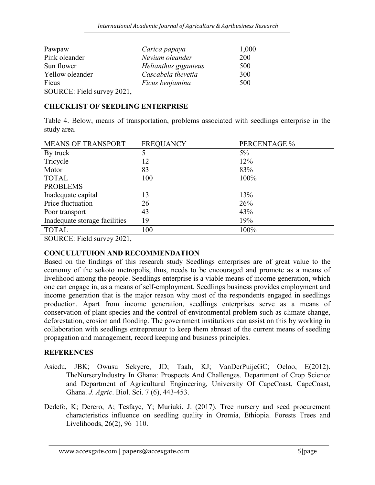| Pawpaw          | Carica papaya        | 1,000 |
|-----------------|----------------------|-------|
| Pink oleander   | Nevium oleander      | 200   |
| Sun flower      | Helianthus giganteus | 500   |
| Yellow oleander | Cascabela thevetia   | 300   |
| Ficus           | Ficus benjamina      | 500   |

SOURCE: Field survey 2021,

# CHECKLIST OF SEEDLING ENTERPRISE

Table 4. Below, means of transportation, problems associated with seedlings enterprise in the study area.

| <b>MEANS OF TRANSPORT</b>     | <b>FREQUANCY</b> | PERCENTAGE % |
|-------------------------------|------------------|--------------|
| By truck                      |                  | $5\%$        |
| Tricycle                      | 12               | 12%          |
| Motor                         | 83               | 83%          |
| <b>TOTAL</b>                  | 100              | 100%         |
| <b>PROBLEMS</b>               |                  |              |
| Inadequate capital            | 13               | 13%          |
| Price fluctuation             | 26               | 26%          |
| Poor transport                | 43               | 43%          |
| Inadequate storage facilities | 19               | 19%          |
| <b>TOTAL</b>                  | 100              | 100%         |

SOURCE: Field survey 2021,

## CONCULUTUION AND RECOMMENDATION

Based on the findings of this research study Seedlings enterprises are of great value to the economy of the sokoto metropolis, thus, needs to be encouraged and promote as a means of livelihood among the people. Seedlings enterprise is a viable means of income generation, which one can engage in, as a means of self-employment. Seedlings business provides employment and income generation that is the major reason why most of the respondents engaged in seedlings production. Apart from income generation, seedlings enterprises serve as a means of conservation of plant species and the control of environmental problem such as climate change, deforestation, erosion and flooding. The government institutions can assist on this by working in collaboration with seedlings entrepreneur to keep them abreast of the current means of seedling propagation and management, record keeping and business principles.

# REFERENCES

- Asiedu, JBK; Owusu Sekyere, JD; Taah, KJ; VanDerPuijeGC; Ocloo, E(2012). TheNurseryIndustry In Ghana: Prospects And Challenges. Department of Crop Science and Department of Agricultural Engineering, University Of CapeCoast, CapeCoast, Ghana. J. Agric. Biol. Sci. 7 (6), 443-453.
- Dedefo, K; Derero, A; Tesfaye, Y; Muriuki, J. (2017). Tree nursery and seed procurement characteristics influence on seedling quality in Oromia, Ethiopia. Forests Trees and Livelihoods, 26(2), 96–110.